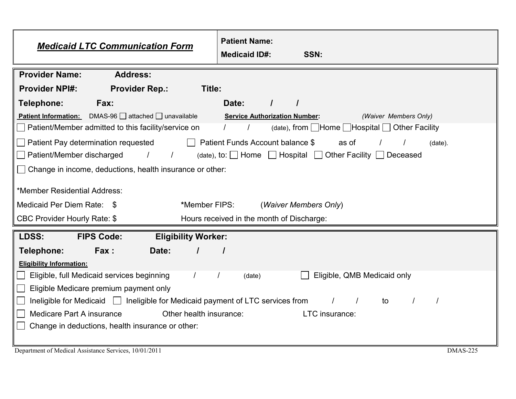| <b>Patient Name:</b><br><b>Medicaid LTC Communication Form</b><br><b>Medicaid ID#:</b>                                   | SSN:                                                          |
|--------------------------------------------------------------------------------------------------------------------------|---------------------------------------------------------------|
| <b>Provider Name:</b><br><b>Address:</b>                                                                                 |                                                               |
| <b>Provider NPI#:</b><br>Title:<br><b>Provider Rep.:</b>                                                                 |                                                               |
| Telephone:<br>Date:<br>Fax:                                                                                              | $\prime$                                                      |
| <b>Patient Information:</b> DMAS-96 attached unavailable                                                                 | <b>Service Authorization Number:</b><br>(Waiver Members Only) |
| Patient/Member admitted to this facility/service on<br>$(date)$ , from $\Box$ Home $\Box$ Hospital $\Box$ Other Facility |                                                               |
| $\Box$ Patient Pay determination requested<br>Patient Funds Account balance \$<br>as of<br>$(data)$ .                    |                                                               |
| $\Box$ Patient/Member discharged<br>/ (date), to: Home   Hospital   Other Facility   Deceased                            |                                                               |
| □ Change in income, deductions, health insurance or other:                                                               |                                                               |
|                                                                                                                          |                                                               |
| *Member Residential Address:                                                                                             |                                                               |
| Medicaid Per Diem Rate: \$<br>*Member FIPS:                                                                              | (Waiver Members Only)                                         |
| <b>CBC Provider Hourly Rate: \$</b>                                                                                      | Hours received in the month of Discharge:                     |
| <b>FIPS Code:</b><br>LDSS:<br><b>Eligibility Worker:</b>                                                                 |                                                               |
| Telephone:<br>Fax:<br>Date:                                                                                              |                                                               |
| <b>Eligibility Information:</b>                                                                                          |                                                               |
| Eligible, full Medicaid services beginning<br>$\prime$<br>(date)                                                         | Eligible, QMB Medicaid only                                   |
| Eligible Medicare premium payment only                                                                                   |                                                               |
| Ineligible for Medicaid     Ineligible for Medicaid payment of LTC services from<br>to                                   |                                                               |
| Medicare Part A insurance<br>Other health insurance:<br>LTC insurance:                                                   |                                                               |
| Change in deductions, health insurance or other:                                                                         |                                                               |
|                                                                                                                          |                                                               |

Department of Medical Assistance Services, 10/01/2011 DMAS-225